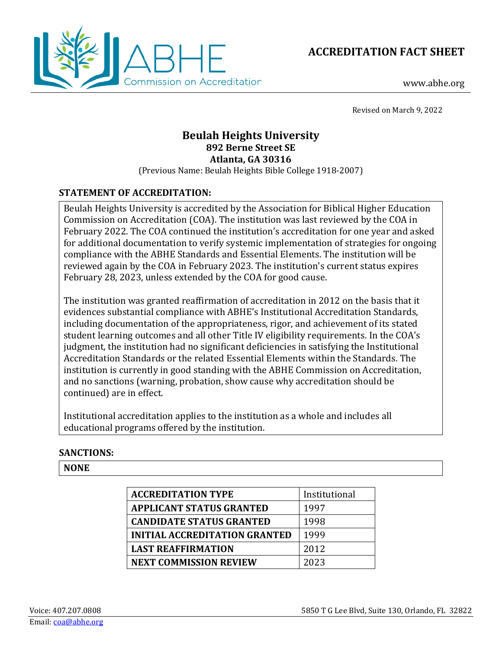



www.abhe.org

Revised on March 9, 2022

# **Beulah Heights University 892 Berne Street SE Atlanta, GA 30316**

(Previous Name: Beulah Heights Bible College 1918-2007)

# **STATEMENT OF ACCREDITATION:**

Beulah Heights University is accredited by the Association for Biblical Higher Education Commission on Accreditation (COA). The institution was last reviewed by the COA in February 2022. The COA continued the institution's accreditation for one year and asked for additional documentation to verify systemic implementation of strategies for ongoing compliance with the ABHE Standards and Essential Elements. The institution will be reviewed again by the COA in February 2023. The institution's current status expires February 28, 2023, unless extended by the COA for good cause.

The institution was granted reaffirmation of accreditation in 2012 on the basis that it evidences substantial compliance with ABHE's Institutional Accreditation Standards, including documentation of the appropriateness, rigor, and achievement of its stated student learning outcomes and all other Title IV eligibility requirements. In the COA's judgment, the institution had no significant deficiencies in satisfying the Institutional Accreditation Standards or the related Essential Elements within the Standards. The institution is currently in good standing with the ABHE Commission on Accreditation, and no sanctions (warning, probation, show cause why accreditation should be continued) are in effect.

Institutional accreditation applies to the institution as a whole and includes all educational programs offered by the institution.

## **SANCTIONS:**

**NONE**

| <b>ACCREDITATION TYPE</b>            | Institutional |
|--------------------------------------|---------------|
| <b>APPLICANT STATUS GRANTED</b>      | 1997          |
| <b>CANDIDATE STATUS GRANTED</b>      | 1998          |
| <b>INITIAL ACCREDITATION GRANTED</b> | 1999          |
| <b>LAST REAFFIRMATION</b>            | 2012          |
| <b>NEXT COMMISSION REVIEW</b>        | 2023          |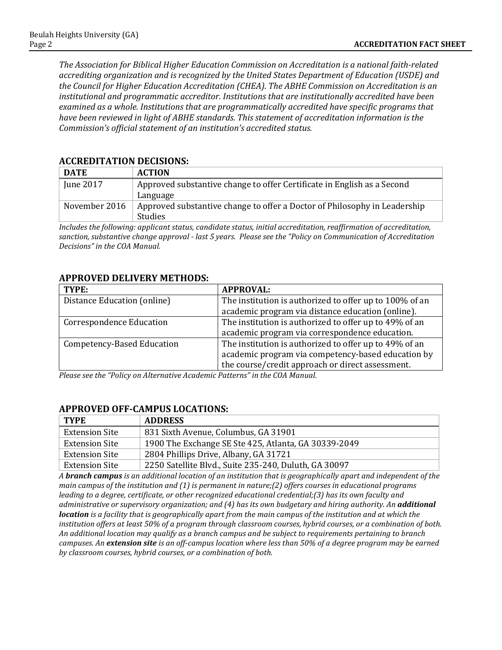*The Association for Biblical Higher Education Commission on Accreditation is a national faith-related accrediting organization and is recognized by the United States Department of Education (USDE) and the Council for Higher Education Accreditation (CHEA). The ABHE Commission on Accreditation is an institutional and programmatic accreditor. Institutions that are institutionally accredited have been examined as a whole. Institutions that are programmatically accredited have specific programs that have been reviewed in light of ABHE standards. This statement of accreditation information is the Commission's official statement of an institution's accredited status.*

| <b>ACCREDITATION DECISIONS:</b> |                                         |  |  |  |
|---------------------------------|-----------------------------------------|--|--|--|
| <b>DATE</b>                     | <b>ACTION</b>                           |  |  |  |
| June 2017                       | Approved substantive change to offer Ce |  |  |  |

| DAIL          | AGILUN                                                                                      |  |
|---------------|---------------------------------------------------------------------------------------------|--|
| June 2017     | Approved substantive change to offer Certificate in English as a Second                     |  |
|               | Language                                                                                    |  |
| November 2016 | Approved substantive change to offer a Doctor of Philosophy in Leadership<br><b>Studies</b> |  |

*Includes the following: applicant status, candidate status, initial accreditation, reaffirmation of accreditation, sanction, substantive change approval - last 5 years. Please see the "Policy on Communication of Accreditation Decisions" in the COA Manual.*

#### **APPROVED DELIVERY METHODS:**

| TYPE:                             | <b>APPROVAL:</b>                                        |
|-----------------------------------|---------------------------------------------------------|
| Distance Education (online)       | The institution is authorized to offer up to 100% of an |
|                                   | academic program via distance education (online).       |
| <b>Correspondence Education</b>   | The institution is authorized to offer up to 49% of an  |
|                                   | academic program via correspondence education.          |
| <b>Competency-Based Education</b> | The institution is authorized to offer up to 49% of an  |
|                                   | academic program via competency-based education by      |
|                                   | the course/credit approach or direct assessment.        |

*Please see the "Policy on Alternative Academic Patterns" in the COA Manual.*

## **APPROVED OFF-CAMPUS LOCATIONS:**

| <b>TYPE</b>           | <b>ADDRESS</b>                                        |
|-----------------------|-------------------------------------------------------|
| <b>Extension Site</b> | 831 Sixth Avenue, Columbus, GA 31901                  |
| <b>Extension Site</b> | 1900 The Exchange SE Ste 425, Atlanta, GA 30339-2049  |
| <b>Extension Site</b> | 2804 Phillips Drive, Albany, GA 31721                 |
| <b>Extension Site</b> | 2250 Satellite Blvd., Suite 235-240, Duluth, GA 30097 |
|                       |                                                       |

*A branch campus is an additional location of an institution that is geographically apart and independent of the main campus of the institution and (1) is permanent in nature;(2) offers courses in educational programs leading to a degree, certificate, or other recognized educational credential;(3) has its own faculty and administrative or supervisory organization; and (4) has its own budgetary and hiring authority. An additional location is a facility that is geographically apart from the main campus of the institution and at which the institution offers at least 50% of a program through classroom courses, hybrid courses, or a combination of both. An additional location may qualify as a branch campus and be subject to requirements pertaining to branch campuses. An extension site is an off-campus location where less than 50% of a degree program may be earned by classroom courses, hybrid courses, or a combination of both.*